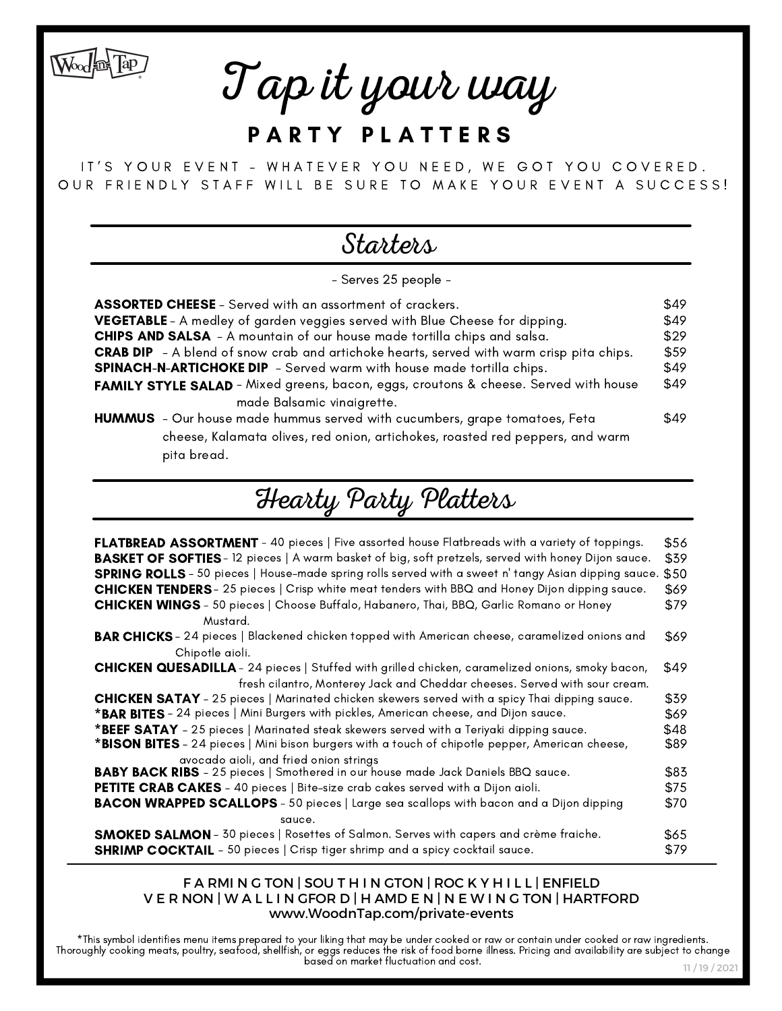Tap it your way

Wood in Tap

## PARTY PLATTERS

IT'S YOUR EVENT - WHATEVER YOU NEED, WE GOT YOU COVERED. OUR FRIENDLY STAFF WILL BE SURE TO MAKE YOUR EVENT A SUCCESS!

## **Starters**

- Serves 25 people -

| <b>ASSORTED CHEESE</b> - Served with an assortment of crackers.                                 | \$49 |  |
|-------------------------------------------------------------------------------------------------|------|--|
| VEGETABLE - A medley of garden veggies served with Blue Cheese for dipping.                     |      |  |
| <b>CHIPS AND SALSA</b> - A mountain of our house made tortilla chips and salsa.                 |      |  |
| <b>CRAB DIP</b> - A blend of snow crab and artichoke hearts, served with warm crisp pita chips. |      |  |
| SPINACH-N-ARTICHOKE DIP - Served warm with house made tortilla chips.                           |      |  |
| FAMILY STYLE SALAD - Mixed greens, bacon, eggs, croutons & cheese. Served with house            |      |  |
| made Balsamic vinaigrette.                                                                      |      |  |
| <b>HUMMUS</b> - Our house made hummus served with cucumbers, grape tomatoes, Feta               | \$49 |  |
| cheese, Kalamata olives, red onion, artichokes, roasted red peppers, and warm                   |      |  |
| pita bread.                                                                                     |      |  |

# Hearty Party Platters

| <b>FLATBREAD ASSORTMENT</b> - 40 pieces   Five assorted house Flatbreads with a variety of toppings.<br><b>BASKET OF SOFTIES</b> -12 pieces   A warm basket of big, soft pretzels, served with honey Dijon sauce.<br><b>SPRING ROLLS</b> - 50 pieces   House-made spring rolls served with a sweet n' tangy Asian dipping sauce.<br><b>CHICKEN TENDERS</b> - 25 pieces   Crisp white meat tenders with BBQ and Honey Dijon dipping sauce.<br><b>CHICKEN WINGS</b> - 50 pieces   Choose Buffalo, Habanero, Thai, BBQ, Garlic Romano or Honey | \$56<br>\$39<br>\$50<br>\$69<br>\$79 |  |
|---------------------------------------------------------------------------------------------------------------------------------------------------------------------------------------------------------------------------------------------------------------------------------------------------------------------------------------------------------------------------------------------------------------------------------------------------------------------------------------------------------------------------------------------|--------------------------------------|--|
| Mustard.                                                                                                                                                                                                                                                                                                                                                                                                                                                                                                                                    |                                      |  |
| BAR CHICKS - 24 pieces   Blackened chicken topped with American cheese, caramelized onions and<br>Chipotle aioli.                                                                                                                                                                                                                                                                                                                                                                                                                           | \$69                                 |  |
| <b>CHICKEN QUESADILLA</b> - 24 pieces   Stuffed with grilled chicken, caramelized onions, smoky bacon,                                                                                                                                                                                                                                                                                                                                                                                                                                      | \$49                                 |  |
| fresh cilantro, Monterey Jack and Cheddar cheeses. Served with sour cream.                                                                                                                                                                                                                                                                                                                                                                                                                                                                  |                                      |  |
| <b>CHICKEN SATAY</b> - 25 pieces   Marinated chicken skewers served with a spicy Thai dipping sauce.                                                                                                                                                                                                                                                                                                                                                                                                                                        | \$39                                 |  |
| *BAR BITES - 24 pieces   Mini Burgers with pickles, American cheese, and Dijon sauce.                                                                                                                                                                                                                                                                                                                                                                                                                                                       |                                      |  |
| *BEEF SATAY - 25 pieces   Marinated steak skewers served with a Teriyaki dipping sauce.                                                                                                                                                                                                                                                                                                                                                                                                                                                     |                                      |  |
| *BISON BITES - 24 pieces   Mini bison burgers with a touch of chipotle pepper, American cheese,<br>\$89                                                                                                                                                                                                                                                                                                                                                                                                                                     |                                      |  |
| avocado aioli, and fried onion strings                                                                                                                                                                                                                                                                                                                                                                                                                                                                                                      | \$83                                 |  |
| <b>BABY BACK RIBS</b> - 25 pieces   Smothered in our house made Jack Daniels BBQ sauce.                                                                                                                                                                                                                                                                                                                                                                                                                                                     |                                      |  |
| <b>PETITE CRAB CAKES</b> - 40 pieces   Bite-size crab cakes served with a Dijon aioli.                                                                                                                                                                                                                                                                                                                                                                                                                                                      | \$75                                 |  |
| <b>BACON WRAPPED SCALLOPS</b> - 50 pieces   Large sea scallops with bacon and a Dijon dipping                                                                                                                                                                                                                                                                                                                                                                                                                                               | \$70                                 |  |
| squce.                                                                                                                                                                                                                                                                                                                                                                                                                                                                                                                                      |                                      |  |
| <b>SMOKED SALMON</b> - 30 pieces   Rosettes of Salmon. Serves with capers and crème fraiche.                                                                                                                                                                                                                                                                                                                                                                                                                                                | \$65                                 |  |
| <b>SHRIMP COCKTAIL</b> - 50 pieces   Crisp tiger shrimp and a spicy cocktail sauce.                                                                                                                                                                                                                                                                                                                                                                                                                                                         | \$79                                 |  |

#### F A RMI N G TON | SOU T H I N GTON | ROC K Y H I L L | ENFIELD V E R NON | W A L L I N GFOR D | H AMD E N | N E W I N G TON | HARTFORD www.WoodnTap.com/private-events

\*This symbol identifies menu items prepared to your liking that may be under cooked or raw or contain under cooked or raw ingredients. Thoroughly cooking meats, poultry, seafood, shellfish, or eggs reduces the risk of food borne illness. Pricing and availability are subject to change based on market fluctuation and cost.